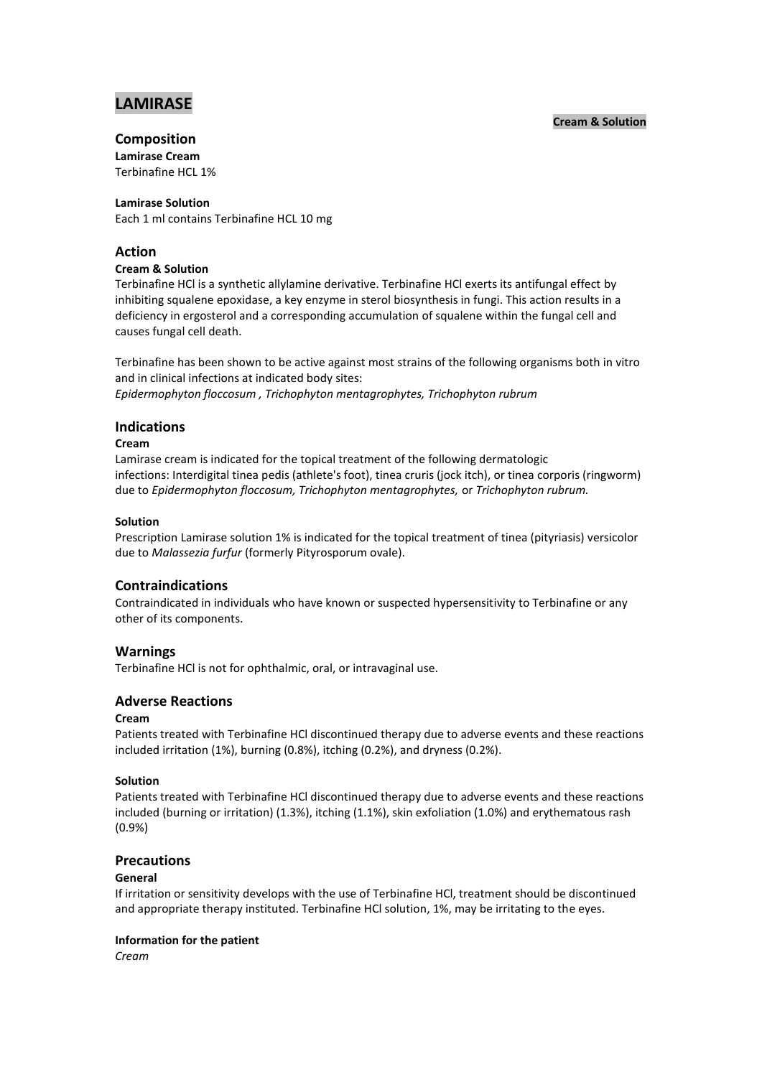# **LAMIRASE**

## **Cream & Solution**

# **Composition**

**Lamirase Cream** Terbinafine HCL 1%

#### **Lamirase Solution**

Each 1 ml contains Terbinafine HCL 10 mg

## **Action**

## **Cream & Solution**

Terbinafine HCl is a synthetic allylamine derivative. Terbinafine HCl exerts its antifungal effect by inhibiting squalene epoxidase, a key enzyme in sterol biosynthesis in fungi. This action results in a deficiency in ergosterol and a corresponding accumulation of squalene within the fungal cell and causes fungal cell death.

Terbinafine has been shown to be active against most strains of the following organisms both in vitro and in clinical infections at indicated body sites: *Epidermophyton floccosum , Trichophyton mentagrophytes, Trichophyton rubrum* 

## **Indications**

## **Cream**

Lamirase cream is indicated for the topical treatment of the following dermatologic infections: Interdigital tinea pedis (athlete's foot), tinea cruris (jock itch), or tinea corporis (ringworm) due to *Epidermophyton floccosum, Trichophyton mentagrophytes,* or *Trichophyton rubrum.*

#### **Solution**

Prescription Lamirase solution 1% is indicated for the topical treatment of tinea (pityriasis) versicolor due to *Malassezia furfur* (formerly Pityrosporum ovale).

# **Contraindications**

Contraindicated in individuals who have known or suspected hypersensitivity to Terbinafine or any other of its components.

## **Warnings**

Terbinafine HCl is not for ophthalmic, oral, or intravaginal use.

# **Adverse Reactions**

# **Cream**

Patients treated with Terbinafine HCl discontinued therapy due to adverse events and these reactions included irritation (1%), burning (0.8%), itching (0.2%), and dryness (0.2%).

## **Solution**

Patients treated with Terbinafine HCl discontinued therapy due to adverse events and these reactions included (burning or irritation) (1.3%), itching (1.1%), skin exfoliation (1.0%) and erythematous rash (0.9%)

## **Precautions**

## **General**

If irritation or sensitivity develops with the use of Terbinafine HCl, treatment should be discontinued and appropriate therapy instituted. Terbinafine HCl solution, 1%, may be irritating to the eyes.

## **Information for the patient**

*Cream*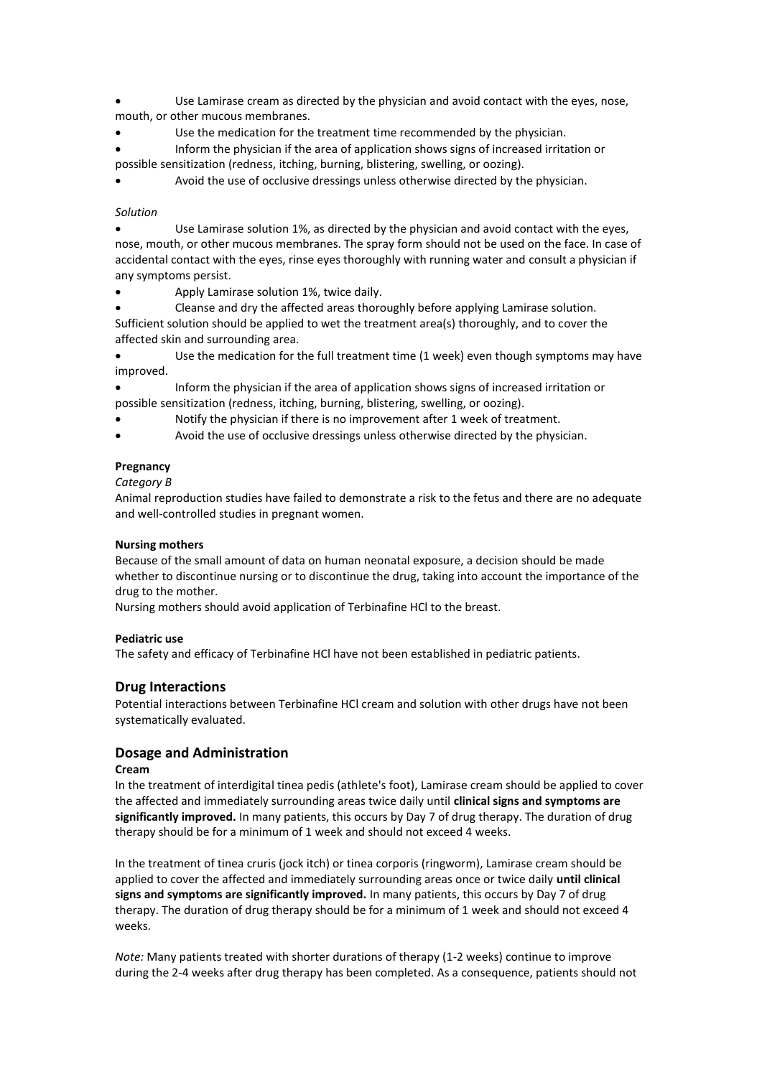Use Lamirase cream as directed by the physician and avoid contact with the eyes, nose, mouth, or other mucous membranes.

Use the medication for the treatment time recommended by the physician.

 Inform the physician if the area of application shows signs of increased irritation or possible sensitization (redness, itching, burning, blistering, swelling, or oozing).

Avoid the use of occlusive dressings unless otherwise directed by the physician.

#### *Solution*

 Use Lamirase solution 1%, as directed by the physician and avoid contact with the eyes, nose, mouth, or other mucous membranes. The spray form should not be used on the face. In case of accidental contact with the eyes, rinse eyes thoroughly with running water and consult a physician if any symptoms persist.

Apply Lamirase solution 1%, twice daily.

Cleanse and dry the affected areas thoroughly before applying Lamirase solution.

Sufficient solution should be applied to wet the treatment area(s) thoroughly, and to cover the affected skin and surrounding area.

 Use the medication for the full treatment time (1 week) even though symptoms may have improved.

 Inform the physician if the area of application shows signs of increased irritation or possible sensitization (redness, itching, burning, blistering, swelling, or oozing).

Notify the physician if there is no improvement after 1 week of treatment.

Avoid the use of occlusive dressings unless otherwise directed by the physician.

## **Pregnancy**

*Category B*

Animal reproduction studies have failed to demonstrate a risk to the fetus and there are no adequate and well-controlled studies in pregnant women.

## **Nursing mothers**

Because of the small amount of data on human neonatal exposure, a decision should be made whether to discontinue nursing or to discontinue the drug, taking into account the importance of the drug to the mother.

Nursing mothers should avoid application of Terbinafine HCl to the breast.

## **Pediatric use**

The safety and efficacy of Terbinafine HCl have not been established in pediatric patients.

# **Drug Interactions**

Potential interactions between Terbinafine HCl cream and solution with other drugs have not been systematically evaluated.

## **Dosage and Administration**

## **Cream**

In the treatment of interdigital tinea pedis (athlete's foot), Lamirase cream should be applied to cover the affected and immediately surrounding areas twice daily until **clinical signs and symptoms are significantly improved.** In many patients, this occurs by Day 7 of drug therapy. The duration of drug therapy should be for a minimum of 1 week and should not exceed 4 weeks.

In the treatment of tinea cruris (jock itch) or tinea corporis (ringworm), Lamirase cream should be applied to cover the affected and immediately surrounding areas once or twice daily **until clinical signs and symptoms are significantly improved.** In many patients, this occurs by Day 7 of drug therapy. The duration of drug therapy should be for a minimum of 1 week and should not exceed 4 weeks.

*Note:* Many patients treated with shorter durations of therapy (1-2 weeks) continue to improve during the 2-4 weeks after drug therapy has been completed. As a consequence, patients should not